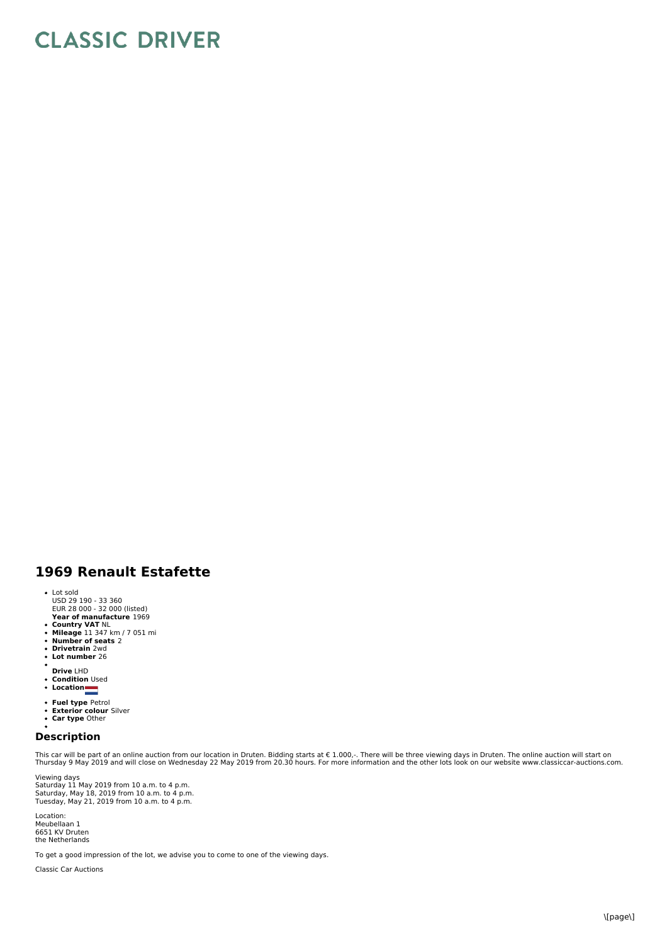## **CLASSIC DRIVER**

## **1969 Renault Estafette**

- Lot sold USD 29 190 - 33 360 EUR 28 000 - 32 000 (listed)
- **Year of manufacture** 1969
- **Country VAT** NL<br>**Mileage** 11 347 km / 7 051 mi<br>**Number of seats** 2<br>**Drivetrain** 2wd<br>**Lot number** 26
- 
- 
- 
- $\bullet$ **Drive** LHD
- **Condition** Used
- **Location**
- 
- **Fuel type** Petrol<br>**Exterior colour** Silver<br>**Car type** Other
- 

## **Description**

This car will be part of an online auction from our location in Druten. Bidding starts at € 1.000,-. There will be three viewing days in Druten. The online auction will start on<br>Thursday 9 May 2019 and will close on Wedne

Viewing days<br>Saturday 11 May 2019 from 10 a.m. to 4 p.m.<br>Saturday, May 21, 2019 from 10 a.m. to 4 p.m.<br>Tuesday, May 21, 2019 from 10 a.m. to 4 p.m.

Location: Meubellaan 1 6651 KV Druten the Netherlands

To get a good impression of the lot, we advise you to come to one of the viewing days.

Classic Car Auctions